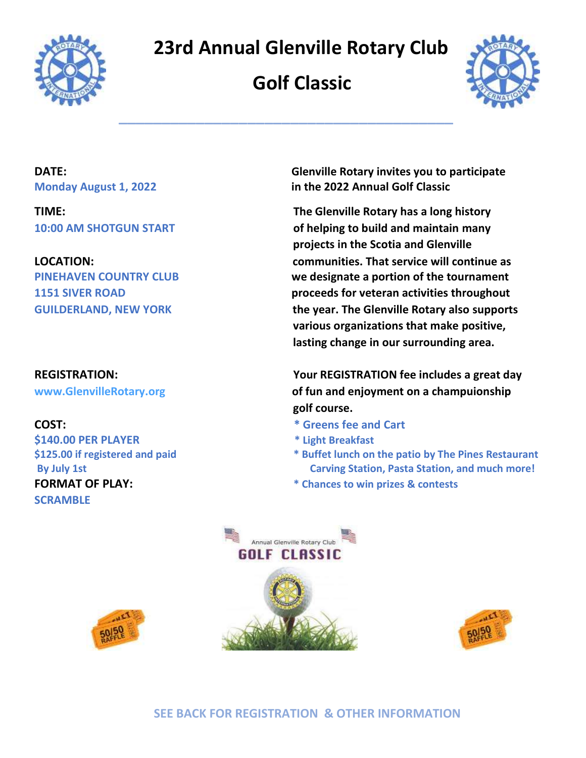

## **23rd Annual Glenville Rotary Club**

# **Golf Classic**

**\_\_\_\_\_\_\_\_\_\_\_\_\_\_\_\_\_\_\_\_\_\_\_\_\_\_\_\_\_\_\_\_\_\_\_\_\_\_\_**



**\$140.00 PER PLAYER \* Light Breakfast SCRAMBLE** 

**DATE: Glenville Rotary invites you to participate Monday August 1, 2022 in the 2022 Annual Golf Classic** 

**TIME: The Glenville Rotary has a long history 10:00 AM SHOTGUN START of helping to build and maintain many projects in the Scotia and Glenville LOCATION: communities. That service will continue as PINEHAVEN COUNTRY CLUB we designate a portion of the tournament 1151 SIVER ROAD proceeds for veteran activities throughout GUILDERLAND, NEW YORK the year. The Glenville Rotary also supports various organizations that make positive, lasting change in our surrounding area.**

**REGISTRATION: Your REGISTRATION fee includes a great day [www.GlenvilleRotary.org](http://www.glenvillerotary.org/) of fun and enjoyment on a champuionship golf course.**

- **COST: \* Greens fee and Cart**
	-
- **\$125.00 if registered and paid \* Buffet lunch on the patio by The Pines Restaurant By July 1st Carving Station, Pasta Station, and much more!**
- **FORMAT OF PLAY: \* Chances to win prizes & contests**